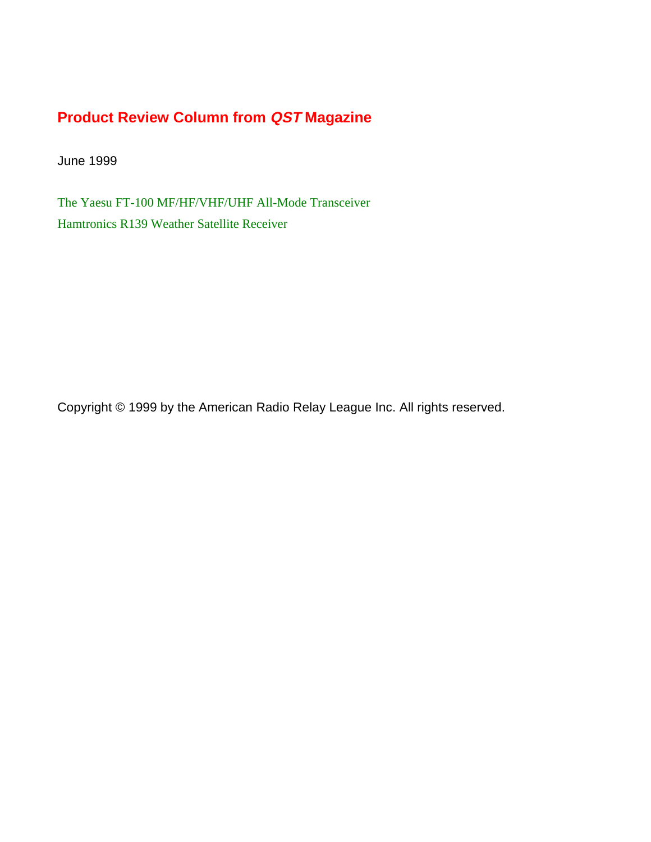## **Product Review Column from QST Magazine**

June 1999

[The Yaesu FT-100 MF/HF/VHF/UHF All-Mode Transceiver](#page-1-0) [Hamtronics R139 Weather Satellite Receiver](#page-6-0)

Copyright © 1999 by the American Radio Relay League Inc. All rights reserved.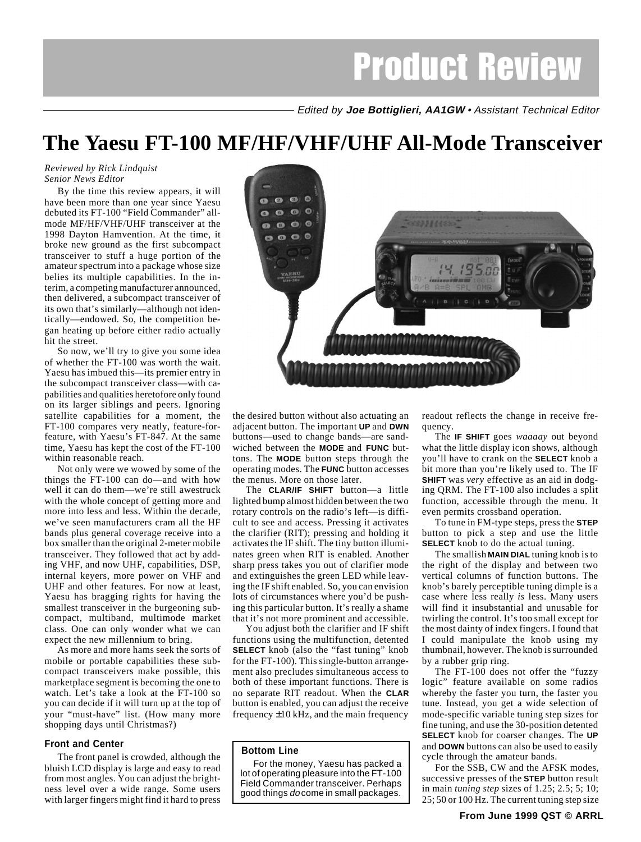# Product Review

Edited by **Joe Bottiglieri, AA1GW** • Assistant Technical Editor

# <span id="page-1-0"></span>**The Yaesu FT-100 MF/HF/VHF/UHF All-Mode Transceiver**

#### *Reviewed by Rick Lindquist Senior News Editor*

By the time this review appears, it will have been more than one year since Yaesu debuted its FT-100 "Field Commander" allmode MF/HF/VHF/UHF transceiver at the 1998 Dayton Hamvention. At the time, it broke new ground as the first subcompact transceiver to stuff a huge portion of the amateur spectrum into a package whose size belies its multiple capabilities. In the interim, a competing manufacturer announced, then delivered, a subcompact transceiver of its own that's similarly—although not identically—endowed. So, the competition began heating up before either radio actually hit the street.

So now, we'll try to give you some idea of whether the FT-100 was worth the wait. Yaesu has imbued this—its premier entry in the subcompact transceiver class—with capabilities and qualities heretofore only found on its larger siblings and peers. Ignoring satellite capabilities for a moment, the FT-100 compares very neatly, feature-forfeature, with Yaesu's FT-847. At the same time, Yaesu has kept the cost of the FT-100 within reasonable reach.

Not only were we wowed by some of the things the FT-100 can do—and with how well it can do them—we're still awestruck with the whole concept of getting more and more into less and less. Within the decade, we've seen manufacturers cram all the HF bands plus general coverage receive into a box smaller than the original 2-meter mobile transceiver. They followed that act by adding VHF, and now UHF, capabilities, DSP, internal keyers, more power on VHF and UHF and other features. For now at least, Yaesu has bragging rights for having the smallest transceiver in the burgeoning subcompact, multiband, multimode market class. One can only wonder what we can expect the new millennium to bring.

As more and more hams seek the sorts of mobile or portable capabilities these subcompact transceivers make possible, this marketplace segment is becoming the one to watch. Let's take a look at the FT-100 so you can decide if it will turn up at the top of your "must-have" list. (How many more shopping days until Christmas?)

## **Front and Center**

The front panel is crowded, although the bluish LCD display is large and easy to read from most angles. You can adjust the brightness level over a wide range. Some users with larger fingers might find it hard to press



the desired button without also actuating an adjacent button. The important **UP** and **DWN** buttons—used to change bands—are sandwiched between the **MODE** and **FUNC** buttons. The **MODE** button steps through the operating modes. The **FUNC** button accesses the menus. More on those later.

The **CLAR/IF SHIFT** button—a little lighted bump almost hidden between the two rotary controls on the radio's left—is difficult to see and access. Pressing it activates the clarifier (RIT); pressing and holding it activates the IF shift. The tiny button illuminates green when RIT is enabled. Another sharp press takes you out of clarifier mode and extinguishes the green LED while leaving the IF shift enabled. So, you can envision lots of circumstances where you'd be pushing this particular button. It's really a shame that it's not more prominent and accessible.

You adjust both the clarifier and IF shift functions using the multifunction, detented **SELECT** knob (also the "fast tuning" knob for the FT-100). This single-button arrangement also precludes simultaneous access to both of these important functions. There is no separate RIT readout. When the **CLAR** button is enabled, you can adjust the receive frequency  $\pm 10$  kHz, and the main frequency

## **Bottom Line**

For the money, Yaesu has packed a lot of operating pleasure into the FT-100 Field Commander transceiver. Perhaps good things do come in small packages.

readout reflects the change in receive frequency.

The **IF SHIFT** goes *waaaay* out beyond what the little display icon shows, although you'll have to crank on the **SELECT** knob a bit more than you're likely used to. The IF **SHIFT** was *very* effective as an aid in dodging QRM. The FT-100 also includes a split function, accessible through the menu. It even permits crossband operation.

To tune in FM-type steps, press the **STEP** button to pick a step and use the little **SELECT** knob to do the actual tuning.

The smallish **MAIN DIAL** tuning knob is to the right of the display and between two vertical columns of function buttons. The knob's barely perceptible tuning dimple is a case where less really *is* less. Many users will find it insubstantial and unusable for twirling the control. It's too small except for the most dainty of index fingers. I found that I could manipulate the knob using my thumbnail, however. The knob is surrounded by a rubber grip ring.

The FT-100 does not offer the "fuzzy logic" feature available on some radios whereby the faster you turn, the faster you tune. Instead, you get a wide selection of mode-specific variable tuning step sizes for fine tuning, and use the 30-position detented **SELECT** knob for coarser changes. The **UP** and **DOWN** buttons can also be used to easily cycle through the amateur bands.

For the SSB, CW and the AFSK modes, successive presses of the **STEP** button result in main *tuning step* sizes of 1.25; 2.5; 5; 10; 25; 50 or 100 Hz. The current tuning step size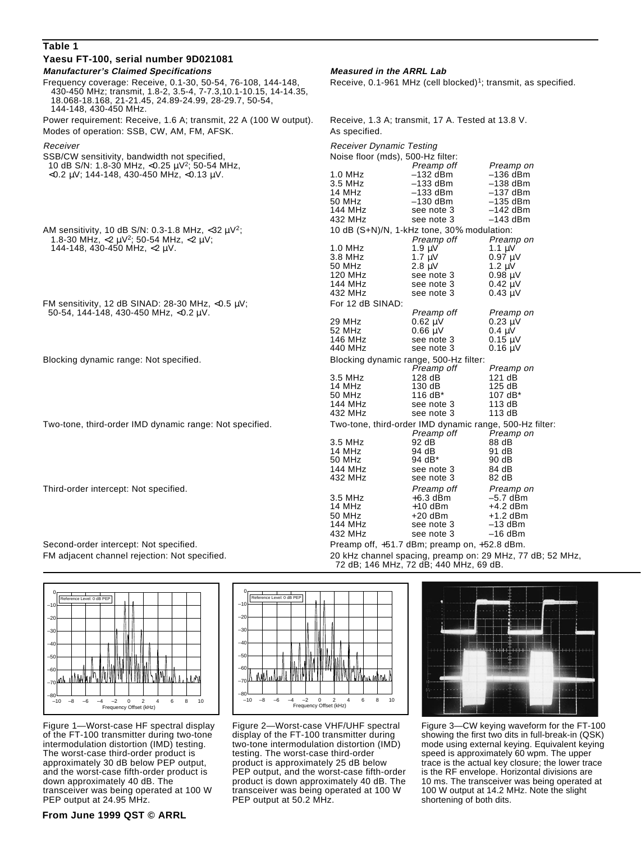## **Table 1 Yaesu FT-100, serial number 9D021081 Manufacturer's Claimed Specifications Measured in the ARRL Lab** Frequency coverage: Receive, 0.1-30, 50-54, 76-108, 144-148, Receive, 0.1-961 MHz (cell blocked)<sup>1</sup>; transmit, as specified. 430-450 MHz; transmit, 1.8-2, 3.5-4, 7-7.3,10.1-10.15, 14-14.35,

 18.068-18.168, 21-21.45, 24.89-24.99, 28-29.7, 50-54, 144-148, 430-450 MHz. Power requirement: Receive, 1.6 A; transmit, 22 A (100 W output). F Modes of operation: SSB, CW, AM, FM, AFSK.

–10 –8 –6 –4 –2 0 2 4 6 8 10 Frequency Offset (kHz)  $-10$ –70 –60 –50 –40 –30 –20 –10 0 Reference Level: 0 dB PEP

Figure 1—Worst-case HF spectral display of the FT-100 transmitter during two-tone intermodulation distortion (IMD) testing. The worst-case third-order product is approximately 30 dB below PEP output, and the worst-case fifth-order product is down approximately 40 dB. The transceiver was being operated at 100 W PEP output at 24.95 MHz.



Figure 2—Worst-case VHF/UHF spectral display of the FT-100 transmitter during two-tone intermodulation distortion (IMD) testing. The worst-case third-order product is approximately 25 dB below PEP output, and the worst-case fifth-order product is down approximately 40 dB. The transceiver was being operated at 100 W PEP output at 50.2 MHz.

| Power requirement: Receive, 1.6 A; transmit, 22 A (100 W output).<br>Modes of operation: SSB, CW, AM, FM, AFSK. | Receive, 1.3 A; transmit, 17 A. Tested at 13.8 V.<br>As specified.                             |                                                                                                   |                                                                                                         |
|-----------------------------------------------------------------------------------------------------------------|------------------------------------------------------------------------------------------------|---------------------------------------------------------------------------------------------------|---------------------------------------------------------------------------------------------------------|
| Receiver<br>SSB/CW sensitivity, bandwidth not specified,                                                        | <b>Receiver Dynamic Testing</b><br>Noise floor (mds), 500-Hz filter:                           |                                                                                                   |                                                                                                         |
| 10 dB S/N: 1.8-30 MHz, <0.25 $\mu$ V <sup>2</sup> ; 50-54 MHz,                                                  |                                                                                                | Preamp off                                                                                        | Preamp on                                                                                               |
| $<$ 0.2 µV; 144-148, 430-450 MHz, $<$ 0.13 µV.                                                                  | $1.0$ MHz<br>3.5 MHz<br>14 MHz<br>50 MHz<br>144 MHz<br>432 MHz                                 | $-132$ dBm<br>$-133$ dBm<br>$-133$ dBm<br>$-130$ dBm<br>see note 3<br>see note 3                  | $-136$ dBm<br>$-138$ dBm<br>$-137$ dBm<br>$-135$ dBm<br>$-142$ dBm<br>$-143$ dBm                        |
| AM sensitivity, 10 dB S/N: 0.3-1.8 MHz, <32 $\mu$ V <sup>2</sup> ;                                              | 10 dB (S+N)/N, 1-kHz tone, 30% modulation:                                                     |                                                                                                   |                                                                                                         |
| 1.8-30 MHz, <2 $\mu$ V <sup>2</sup> ; 50-54 MHz, <2 $\mu$ V;<br>144-148, 430-450 MHz, $\langle 2 \mu V$ .       | $1.0$ MHz<br>3.8 MHz<br>50 MHz<br>120 MHz<br>144 MHz<br>432 MHz                                | Preamp off<br>1.9 $\mu$ V<br>1.7 $\mu$ V<br>$2.8 \mu V$<br>see note 3<br>see note 3<br>see note 3 | Preamp on<br>1.1 $\mu$ V<br>$0.97 \mu V$<br>$1.2 \mu V$<br>$0.98 \mu V$<br>$0.42 \mu V$<br>$0.43 \mu V$ |
| FM sensitivity, 12 dB SINAD: 28-30 MHz, <0.5 $\mu$ V;                                                           | For 12 dB SINAD:                                                                               |                                                                                                   |                                                                                                         |
| 50-54, 144-148, 430-450 MHz, $<$ 0.2 µV.                                                                        | 29 MHz<br>52 MHz<br>146 MHz<br>440 MHz                                                         | Preamp off<br>$0.62 \mu V$<br>$0.66 \mu V$<br>see note 3<br>see note 3                            | Preamp on<br>$0.23 \mu V$<br>$0.4 \mu V$<br>$0.15 \mu V$<br>$0.16 \mu V$                                |
| Blocking dynamic range: Not specified.                                                                          | Blocking dynamic range, 500-Hz filter:                                                         |                                                                                                   |                                                                                                         |
|                                                                                                                 | $3.5$ MHz<br>14 MHz<br>50 MHz<br>144 MHz<br>432 MHz                                            | Preamp off<br>128 dB<br>130dB<br>116 dB*<br>see note 3<br>see note 3                              | Preamp on<br>121dB<br>125dB<br>107 dB*<br>113 dB<br>113 dB                                              |
| Two-tone, third-order IMD dynamic range: Not specified.                                                         | Two-tone, third-order IMD dynamic range, 500-Hz filter:<br>Preamp off<br>Preamp on             |                                                                                                   |                                                                                                         |
|                                                                                                                 | 3.5 MHz<br>14 MHz<br>50 MHz<br>144 MHz<br>432 MHz                                              | 92 dB<br>94 dB<br>94 dB*<br>see note 3<br>see note 3                                              | 88 dB<br>91 dB<br>90 dB<br>84 dB<br>82 dB                                                               |
| Third-order intercept: Not specified.                                                                           | 3.5 MHz<br>14 MHz<br>50 MHz<br>144 MHz<br>432 MHz                                              | Preamp off<br>$+6.3$ dBm<br>$+10$ dBm<br>$+20$ dBm<br>see note 3<br>see note 3                    | Preamp on<br>$-5.7$ dBm<br>$+4.2$ dBm<br>$+1.2$ dBm<br>$-13$ dBm<br>$-16$ dBm                           |
| Second-order intercept: Not specified.                                                                          | Preamp off, +51.7 dBm; preamp on, +52.8 dBm.                                                   |                                                                                                   |                                                                                                         |
| FM adjacent channel rejection: Not specified.                                                                   | 20 kHz channel spacing, preamp on: 29 MHz, 77 dB; 52 MHz,<br>72 dR 146 MHz 72 dR 440 MHz 69 dR |                                                                                                   |                                                                                                         |

72 dB; 146 MHz, 72 dB; 440 MHz, 69 dB.



Figure 3—CW keying waveform for the FT-100 showing the first two dits in full-break-in (QSK) mode using external keying. Equivalent keying speed is approximately 60 wpm. The upper trace is the actual key closure; the lower trace is the RF envelope. Horizontal divisions are 10 ms. The transceiver was being operated at 100 W output at 14.2 MHz. Note the slight shortening of both dits.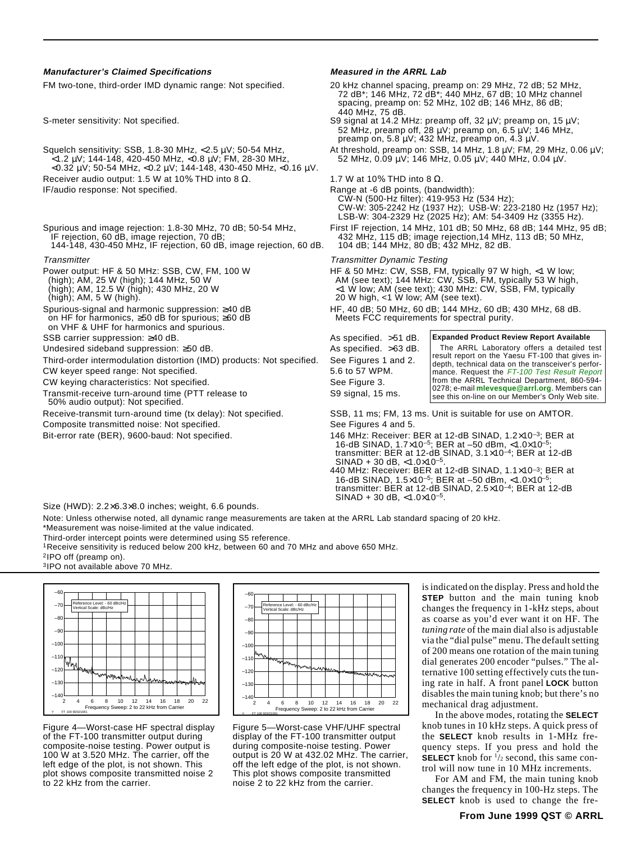#### **Manufacturer's Claimed Specifications Measured in the ARRL Lab**

Squelch sensitivity: SSB, 1.8-30 MHz, <2.5 µV; 50-54 MHz, At threshold, preamp on: SSB, 14 MHz, 1.8 µV; FM, 29 MHz, 0.06 µV; <1.2 µV; 144-148, 420-450 MHz, <0.8 µV; FM, 28-30 MHz,  $\frac{1}{52}$  MHz, 0.09 µV; 146 MHz, 0.05 µV <1.2 µV; 144-148, 420-450 MHz, <0.8 µV; FM, 28-30 MHz, 52 MHz, 0.09 µV; 146 MHz, 0.05 µV; 440 MHz, 0.04 µV. <0.32 µV; 50-54 MHz, <0.2 µV; 144-148, 430-450 MHz, <0.16 µV. Receiver audio output: 1.5 W at 10% THD into 8  $\Omega$ . 1.7 W at 10% THD into 8  $\Omega$ .

- - 144-148, 430-450 MHz, IF rejection, 60 dB, image rejection, 60 dB.

on HF for harmonics,  $\geq 50$  dB for spurious;  $\geq 60$  dB on VHF & UHF for harmonics and spurious.

SSB carrier suppression: ≥40 dB. As specified. >51 dB.

Undesired sideband suppression: ≥50 dB. As specified. >63 dB

Third-order intermodulation distortion (IMD) products: Not specified. See Figures 1 and 2.

CW keyer speed range: Not specified. 5.6 to 57 WPM.

CW keying characteristics: Not specified. The second seed See Figure 3.

Transmit-receive turn-around time (PTT release to S9 signal, 15 ms. 50% audio output): Not specified.

Composite transmitted noise: Not specified. The See Figures 4 and 5.

FM two-tone, third-order IMD dynamic range: Not specified. 20 kHz channel spacing, preamp on: 29 MHz, 72 dB; 52 MHz, 72 dB\*; 146 MHz, 72 dB\*; 440 MHz, 67 dB; 10 MHz channel spacing, preamp on: 52 MHz, 102 dB; 146 MHz, 86 dB; 440 MHz, 75 dB.

S-meter sensitivity: Not specified. S9 signal at 14.2 MHz: preamp off, 32 µV; preamp on, 15 µV; 52 MHz, preamp off, 28  $\mu$ V; preamp on, 6.5  $\mu$ V; 146 MHz, preamp on, 5.8  $\mu$ V; 432 MHz, preamp on, 4.3  $\mu$ V.

IF/audio response: Not specified. The same state of the state of the Range at -6 dB points, (bandwidth): CW-N (500-Hz filter): 419-953 Hz (534 Hz); CW-W: 305-2242 Hz (1937 Hz); USB-W: 223-2180 Hz (1957 Hz); LSB-W: 304-2329 Hz (2025 Hz); AM: 54-3409 Hz (3355 Hz).

Spurious and image rejection: 1.8-30 MHz, 70 dB; 50-54 MHz, First IF rejection, 14 MHz, 101 dB; 50 MHz, 68 dB; 144 MHz, 95 dB; IF rejection, 60 dB, image rejection, 70 dB; 432 MHz, 115 dB; image rejection,14 MHz, 113 dB; 50 MHz,

Transmitter Transmitter Dynamic Testing

Power output: HF & 50 MHz: SSB, CW, FM, 100 W HF & 50 MHz: CW, SSB, FM, typically 97 W high, <1 W low; (high); AM, 25 W (high); 144 MHz, 50 W AM (see text); 144 MHz: CW, SSB, FM, typically 53 W high, (high); AM, 12.5 W (high); 430 MHz, 20 W <1 W low; AM (see text); 430 MHz: CW, SSB, FM, typically (high); AM, 5 W (high). 20 W high, <1 W low; AM (see text).

Spurious-signal and harmonic suppression: ≥40 dB HF, 40 dB; 50 MHz, 60 dB; 144 MHz, 60 dB; 430 MHz, 68 dB.<br>
on HF for harmonics, ≥50 dB for spurious; ≥60 dB Meets FCC requirements for spectral purity.

**Expanded Product Review Report Available**

| ×. | The ARRL Laboratory offers a detailed test         |
|----|----------------------------------------------------|
|    | result report on the Yaesu FT-100 that gives in-   |
|    | depth, technical data on the transceiver's perfor- |
|    | Imance. Request the FT-100 Test Result Report      |
|    | from the ARRL Technical Department, 860-594-       |
|    | 0278; e-mail mlevesque@arrl.org. Members can       |
|    | see this on-line on our Member's Only Web site.    |

Receive-transmit turn-around time (tx delay): Not specified. SSB, 11 ms; FM, 13 ms. Unit is suitable for use on AMTOR.

Bit-error rate (BER), 9600-baud: Not specified. 146 MHz: Receiver: BER at 12-dB SINAD, 1.2×10<sup>-3</sup>; BER at 12-dB SINAD, 1.2×10<sup>-3</sup>; BER at 16-dB SINAD, 1.7×10–5; BER at –50 dBm, <1.0×10–5; transmitter: BER at 12-dB SINAD, 3.1×10–4; BER at 12-dB  $SINAD + 30$  dB, <1.0×10<sup>-5</sup>.

440 MHz: Receiver: BER at 12-dB SINAD, 1.1×10–3; BER at 16-dB SINAD,  $1.5 \times 10^{-5}$ ; BER at -50 dBm, <1.0×10<sup>-5</sup>; transmitter: BER at 12-dB SINAD, 2.5×10–4; BER at 12-dB  $SINAD + 30$  dB, <1.0×10<sup>-5</sup>.

Size (HWD): 2.2×6.3×8.0 inches; weight, 6.6 pounds.

Note: Unless otherwise noted, all dynamic range measurements are taken at the ARRL Lab standard spacing of 20 kHz.

\*Measurement was noise-limited at the value indicated.

Third-order intercept points were determined using S5 reference.

1Receive sensitivity is reduced below 200 kHz, between 60 and 70 MHz and above 650 MHz.

2IPO off (preamp on).





Figure 4—Worst-case HF spectral display of the FT-100 transmitter output during composite-noise testing. Power output is 100 W at 3.520 MHz. The carrier, off the left edge of the plot, is not shown. This plot shows composite transmitted noise 2 to 22 kHz from the carrier.



Figure 5—Worst-case VHF/UHF spectral display of the FT-100 transmitter output during composite-noise testing. Power output is 20 W at 432.02 MHz. The carrier, off the left edge of the plot, is not shown. This plot shows composite transmitted noise 2 to 22 kHz from the carrier.

is indicated on the display. Press and hold the **STEP** button and the main tuning knob changes the frequency in 1-kHz steps, about as coarse as you'd ever want it on HF. The *tuning rate* of the main dial also is adjustable via the "dial pulse" menu. The default setting of 200 means one rotation of the main tuning dial generates 200 encoder "pulses." The alternative 100 setting effectively cuts the tuning rate in half. A front panel **LOCK** button disables the main tuning knob; but there's no mechanical drag adjustment.

In the above modes, rotating the **SELECT** knob tunes in 10 kHz steps. A quick press of the **SELECT** knob results in 1-MHz frequency steps. If you press and hold the **SELECT** knob for  $\frac{1}{2}$  second, this same control will now tune in 10 MHz increments.

For AM and FM, the main tuning knob changes the frequency in 100-Hz steps. The **SELECT** knob is used to change the fre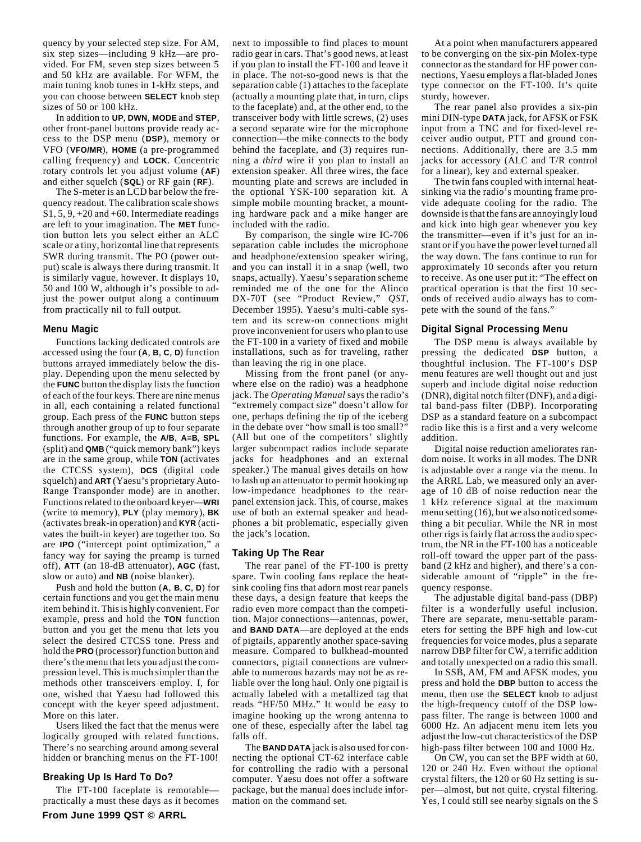quency by your selected step size. For AM, six step sizes—including 9 kHz—are provided. For FM, seven step sizes between 5 and 50 kHz are available. For WFM, the main tuning knob tunes in 1-kHz steps, and you can choose between **SELECT** knob step sizes of 50 or 100 kHz.

In addition to **UP**, **DWN**, **MODE** and **STEP**, other front-panel buttons provide ready access to the DSP menu (**DSP**), memory or VFO (**VFO/MR**), **HOME** (a pre-programmed calling frequency) and **LOCK**. Concentric rotary controls let you adjust volume (**AF**) and either squelch (**SQL**) or RF gain (**RF**).

The S-meter is an LCD bar below the frequency readout. The calibration scale shows S1, 5, 9, +20 and +60. Intermediate readings are left to your imagination. The **MET** function button lets you select either an ALC scale or a tiny, horizontal line that represents SWR during transmit. The PO (power output) scale is always there during transmit. It is similarly vague, however. It displays 10, 50 and 100 W, although it's possible to adjust the power output along a continuum from practically nil to full output.

#### **Menu Magic**

Functions lacking dedicated controls are accessed using the four (**A**, **B**, **C**, **D**) function buttons arrayed immediately below the display. Depending upon the menu selected by the **FUNC** button the display lists the function of each of the four keys. There are nine menus in all, each containing a related functional group. Each press of the **FUNC** button steps through another group of up to four separate functions. For example, the **A/B**, **A=B**, **SPL** (split) and **QMB** ("quick memory bank") keys are in the same group, while **TON** (activates the CTCSS system), **DCS** (digital code squelch) and **ART** (Yaesu's proprietary Auto-Range Transponder mode) are in another. Functions related to the onboard keyer—**WRI** (write to memory), **PLY** (play memory), **BK** (activates break-in operation) and **KYR** (activates the built-in keyer) are together too. So are **IPO** ("intercept point optimization," a fancy way for saying the preamp is turned off), **ATT** (an 18-dB attenuator), **AGC** (fast, slow or auto) and **NB** (noise blanker).

Push and hold the button (**A**, **B**, **C**, **D**) for certain functions and you get the main menu item behind it. This is highly convenient. For example, press and hold the **TON** function button and you get the menu that lets you select the desired CTCSS tone. Press and hold the **PRO** (processor) function button and there's the menu that lets you adjust the compression level. This is much simpler than the methods other transceivers employ. I, for one, wished that Yaesu had followed this concept with the keyer speed adjustment. More on this later.

Users liked the fact that the menus were logically grouped with related functions. There's no searching around among several hidden or branching menus on the FT-100!

## **Breaking Up Is Hard To Do?**

The FT-100 faceplate is remotable practically a must these days as it becomes next to impossible to find places to mount radio gear in cars. That's good news, at least if you plan to install the FT-100 and leave it in place. The not-so-good news is that the separation cable (1) attaches to the faceplate (actually a mounting plate that, in turn, clips to the faceplate) and, at the other end, to the transceiver body with little screws, (2) uses a second separate wire for the microphone connection—the mike connects to the body behind the faceplate, and (3) requires running a *third* wire if you plan to install an extension speaker. All three wires, the face mounting plate and screws are included in the optional YSK-100 separation kit. A simple mobile mounting bracket, a mounting hardware pack and a mike hanger are included with the radio.

By comparison, the single wire IC-706 separation cable includes the microphone and headphone/extension speaker wiring, and you can install it in a snap (well, two snaps, actually). Yaesu's separation scheme reminded me of the one for the Alinco DX-70T (see "Product Review," *QST*, December 1995). Yaesu's multi-cable system and its screw-on connections might prove inconvenient for users who plan to use the FT-100 in a variety of fixed and mobile installations, such as for traveling, rather than leaving the rig in one place.

Missing from the front panel (or anywhere else on the radio) was a headphone jack. The *Operating Manual* says the radio's "extremely compact size" doesn't allow for one, perhaps defining the tip of the iceberg in the debate over "how small is too small?" (All but one of the competitors' slightly larger subcompact radios include separate jacks for headphones and an external speaker.) The manual gives details on how to lash up an attenuator to permit hooking up low-impedance headphones to the rearpanel extension jack. This, of course, makes use of both an external speaker and headphones a bit problematic, especially given the jack's location.

#### **Taking Up The Rear**

The rear panel of the FT-100 is pretty spare. Twin cooling fans replace the heatsink cooling fins that adorn most rear panels these days, a design feature that keeps the radio even more compact than the competition. Major connections—antennas, power, and **BAND DATA**—are deployed at the ends of pigtails, apparently another space-saving measure. Compared to bulkhead-mounted connectors, pigtail connections are vulnerable to numerous hazards may not be as reliable over the long haul. Only one pigtail is actually labeled with a metallized tag that reads "HF/50 MHz." It would be easy to imagine hooking up the wrong antenna to one of these, especially after the label tag falls off.

The **BAND DATA** jack is also used for connecting the optional CT-62 interface cable for controlling the radio with a personal computer. Yaesu does not offer a software package, but the manual does include information on the command set.

At a point when manufacturers appeared to be converging on the six-pin Molex-type connector as the standard for HF power connections, Yaesu employs a flat-bladed Jones type connector on the FT-100. It's quite sturdy, however.

The rear panel also provides a six-pin mini DIN-type **DATA** jack, for AFSK or FSK input from a TNC and for fixed-level receiver audio output, PTT and ground connections. Additionally, there are 3.5 mm jacks for accessory (ALC and T/R control for a linear), key and external speaker.

The twin fans coupled with internal heatsinking via the radio's mounting frame provide adequate cooling for the radio. The downside is that the fans are annoyingly loud and kick into high gear whenever you key the transmitter—even if it's just for an instant or if you have the power level turned all the way down. The fans continue to run for approximately 10 seconds after you return to receive. As one user put it: "The effect on practical operation is that the first 10 seconds of received audio always has to compete with the sound of the fans."

## **Digital Signal Processing Menu**

The DSP menu is always available by pressing the dedicated **DSP** button, a thoughtful inclusion. The FT-100's DSP menu features are well thought out and just superb and include digital noise reduction (DNR), digital notch filter (DNF), and a digital band-pass filter (DBP). Incorporating DSP as a standard feature on a subcompact radio like this is a first and a very welcome addition.

Digital noise reduction ameliorates random noise. It works in all modes. The DNR is adjustable over a range via the menu. In the ARRL Lab, we measured only an average of 10 dB of noise reduction near the 1 kHz reference signal at the maximum menu setting (16), but we also noticed something a bit peculiar. While the NR in most other rigs is fairly flat across the audio spectrum, the NR in the FT-100 has a noticeable roll-off toward the upper part of the passband (2 kHz and higher), and there's a considerable amount of "ripple" in the frequency response.

The adjustable digital band-pass (DBP) filter is a wonderfully useful inclusion. There are separate, menu-settable parameters for setting the BPF high and low-cut frequencies for voice modes, plus a separate narrow DBP filter for CW, a terrific addition and totally unexpected on a radio this small.

In SSB, AM, FM and AFSK modes, you press and hold the **DBP** button to access the menu, then use the **SELECT** knob to adjust the high-frequency cutoff of the DSP lowpass filter. The range is between 1000 and 6000 Hz. An adjacent menu item lets you adjust the low-cut characteristics of the DSP high-pass filter between 100 and 1000 Hz.

On CW, you can set the BPF width at 60, 120 or 240 Hz. Even without the optional crystal filters, the 120 or 60 Hz setting is super—almost, but not quite, crystal filtering. Yes, I could still see nearby signals on the S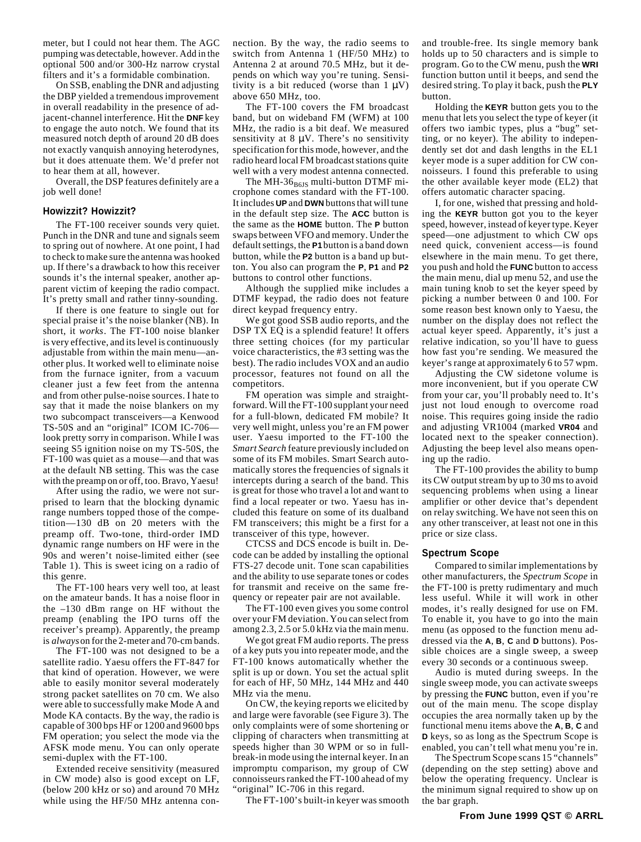meter, but I could not hear them. The AGC pumping was detectable, however. Add in the optional 500 and/or 300-Hz narrow crystal filters and it's a formidable combination.

On SSB, enabling the DNR and adjusting the DBP yielded a tremendous improvement in overall readability in the presence of adjacent-channel interference. Hit the **DNF** key to engage the auto notch. We found that its measured notch depth of around 20 dB does not exactly vanquish annoying heterodynes, but it does attenuate them. We'd prefer not to hear them at all, however.

Overall, the DSP features definitely are a job well done!

#### **Howizzit? Howizzit?**

The FT-100 receiver sounds very quiet. Punch in the DNR and tune and signals seem to spring out of nowhere. At one point, I had to check to make sure the antenna was hooked up. If there's a drawback to how this receiver sounds it's the internal speaker, another apparent victim of keeping the radio compact. It's pretty small and rather tinny-sounding.

If there is one feature to single out for special praise it's the noise blanker (NB). In short, it *works*. The FT-100 noise blanker is very effective, and its level is continuously adjustable from within the main menu—another plus. It worked well to eliminate noise from the furnace igniter, from a vacuum cleaner just a few feet from the antenna and from other pulse-noise sources. I hate to say that it made the noise blankers on my two subcompact transceivers—a Kenwood TS-50S and an "original" ICOM IC-706 look pretty sorry in comparison. While I was seeing S5 ignition noise on my TS-50S, the FT-100 was quiet as a mouse—and that was at the default NB setting. This was the case with the preamp on or off, too. Bravo, Yaesu!

After using the radio, we were not surprised to learn that the blocking dynamic range numbers topped those of the competition—130 dB on 20 meters with the preamp off. Two-tone, third-order IMD dynamic range numbers on HF were in the 90s and weren't noise-limited either (see Table 1). This is sweet icing on a radio of this genre.

The FT-100 hears very well too, at least on the amateur bands. It has a noise floor in the –130 dBm range on HF without the preamp (enabling the IPO turns off the receiver's preamp). Apparently, the preamp is *always* on for the 2-meter and 70-cm bands.

The FT-100 was not designed to be a satellite radio. Yaesu offers the FT-847 for that kind of operation. However, we were able to easily monitor several moderately strong packet satellites on 70 cm. We also were able to successfully make Mode A and Mode KA contacts. By the way, the radio is capable of 300 bps HF or 1200 and 9600 bps FM operation; you select the mode via the AFSK mode menu. You can only operate semi-duplex with the FT-100.

Extended receive sensitivity (measured in CW mode) also is good except on LF, (below 200 kHz or so) and around 70 MHz while using the HF/50 MHz antenna connection. By the way, the radio seems to switch from Antenna 1 (HF/50 MHz) to Antenna 2 at around 70.5 MHz, but it depends on which way you're tuning. Sensitivity is a bit reduced (worse than  $1 \mu V$ ) above 650 MHz, too.

The FT-100 covers the FM broadcast band, but on wideband FM (WFM) at 100 MHz, the radio is a bit deaf. We measured sensitivity at  $8 \mu V$ . There's no sensitivity specification for this mode, however, and the radio heard local FM broadcast stations quite well with a very modest antenna connected.

The MH-36 $_{B61S}$  multi-button DTMF microphone comes standard with the FT-100. It includes **UP** and **DWN** buttons that will tune in the default step size. The **ACC** button is the same as the **HOME** button. The **P** button swaps between VFO and memory. Under the default settings, the **P1** button is a band down button, while the **P2** button is a band up button. You also can program the **P**, **P1** and **P2** buttons to control other functions.

Although the supplied mike includes a DTMF keypad, the radio does not feature direct keypad frequency entry.

We got good SSB audio reports, and the DSP TX EQ is a splendid feature! It offers three setting choices (for my particular voice characteristics, the #3 setting was the best). The radio includes VOX and an audio processor, features not found on all the competitors.

FM operation was simple and straightforward. Will the FT-100 supplant your need for a full-blown, dedicated FM mobile? It very well might, unless you're an FM power user. Yaesu imported to the FT-100 the *Smart Search* feature previously included on some of its FM mobiles. Smart Search automatically stores the frequencies of signals it intercepts during a search of the band. This is great for those who travel a lot and want to find a local repeater or two. Yaesu has included this feature on some of its dualband FM transceivers; this might be a first for a transceiver of this type, however.

CTCSS and DCS encode is built in. Decode can be added by installing the optional FTS-27 decode unit. Tone scan capabilities and the ability to use separate tones or codes for transmit and receive on the same frequency or repeater pair are not available.

The FT-100 even gives you some control over your FM deviation. You can select from among 2.3, 2.5 or 5.0 kHz via the main menu.

We got great FM audio reports. The press of a key puts you into repeater mode, and the FT-100 knows automatically whether the split is up or down. You set the actual split for each of HF, 50 MHz, 144 MHz and 440 MHz via the menu.

On CW, the keying reports we elicited by and large were favorable (see Figure 3). The only complaints were of some shortening or clipping of characters when transmitting at speeds higher than 30 WPM or so in fullbreak-in mode using the internal keyer. In an impromptu comparison, my group of CW connoisseurs ranked the FT-100 ahead of my "original" IC-706 in this regard.

The FT-100's built-in keyer was smooth

and trouble-free. Its single memory bank holds up to 50 characters and is simple to program. Go to the CW menu, push the **WRI** function button until it beeps, and send the desired string. To play it back, push the **PLY** button.

Holding the **KEYR** button gets you to the menu that lets you select the type of keyer (it offers two iambic types, plus a "bug" setting, or no keyer). The ability to independently set dot and dash lengths in the EL1 keyer mode is a super addition for CW connoisseurs. I found this preferable to using the other available keyer mode (EL2) that offers automatic character spacing.

I, for one, wished that pressing and holding the **KEYR** button got you to the keyer speed, however, instead of keyer type. Keyer speed—one adjustment to which CW ops need quick, convenient access—is found elsewhere in the main menu. To get there, you push and hold the **FUNC** button to access the main menu, dial up menu 52, and use the main tuning knob to set the keyer speed by picking a number between 0 and 100. For some reason best known only to Yaesu, the number on the display does not reflect the actual keyer speed. Apparently, it's just a relative indication, so you'll have to guess how fast you're sending. We measured the keyer's range at approximately 6 to 57 wpm.

Adjusting the CW sidetone volume is more inconvenient, but if you operate CW from your car, you'll probably need to. It's just not loud enough to overcome road noise. This requires going inside the radio and adjusting VR1004 (marked **VR04** and located next to the speaker connection). Adjusting the beep level also means opening up the radio.

The FT-100 provides the ability to bump its CW output stream by up to 30 ms to avoid sequencing problems when using a linear amplifier or other device that's dependent on relay switching. We have not seen this on any other transceiver, at least not one in this price or size class.

#### **Spectrum Scope**

Compared to similar implementations by other manufacturers, the *Spectrum Scope* in the FT-100 is pretty rudimentary and much less useful. While it will work in other modes, it's really designed for use on FM. To enable it, you have to go into the main menu (as opposed to the function menu addressed via the **A**, **B**, **C** and **D** buttons). Possible choices are a single sweep, a sweep every 30 seconds or a continuous sweep.

Audio is muted during sweeps. In the single sweep mode, you can activate sweeps by pressing the **FUNC** button, even if you're out of the main menu. The scope display occupies the area normally taken up by the functional menu items above the **A**, **B**, **C** and **D** keys, so as long as the Spectrum Scope is enabled, you can't tell what menu you're in.

The Spectrum Scope scans 15 "channels" (depending on the step setting) above and below the operating frequency. Unclear is the minimum signal required to show up on the bar graph.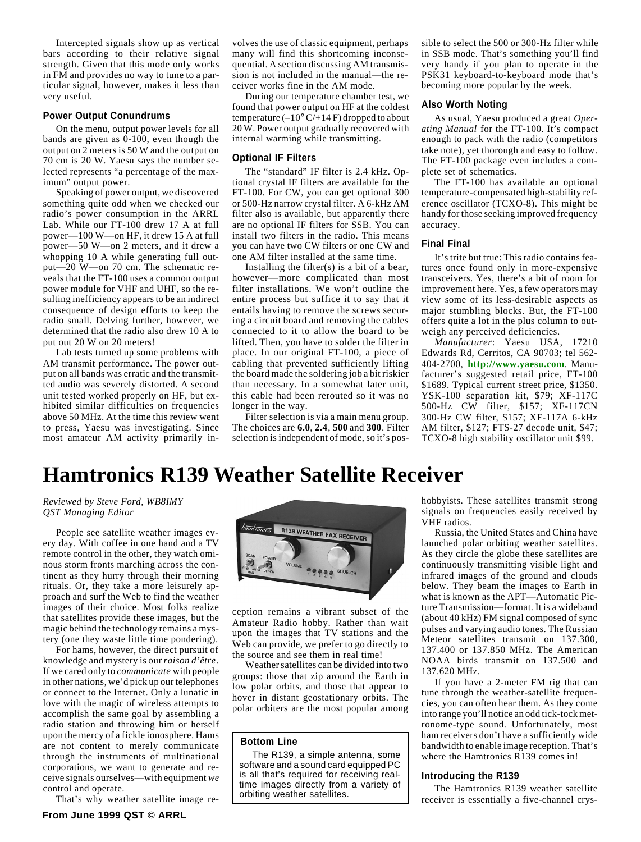<span id="page-6-0"></span>Intercepted signals show up as vertical bars according to their relative signal strength. Given that this mode only works in FM and provides no way to tune to a particular signal, however, makes it less than very useful.

#### **Power Output Conundrums**

On the menu, output power levels for all bands are given as 0-100, even though the output on 2 meters is 50 W and the output on 70 cm is 20 W. Yaesu says the number selected represents "a percentage of the maximum" output power.

Speaking of power output, we discovered something quite odd when we checked our radio's power consumption in the ARRL Lab. While our FT-100 drew 17 A at full power—100 W—on HF, it drew 15 A at full power—50 W—on 2 meters, and it drew a whopping 10 A while generating full output—20 W—on 70 cm. The schematic reveals that the FT-100 uses a common output power module for VHF and UHF, so the resulting inefficiency appears to be an indirect consequence of design efforts to keep the radio small. Delving further, however, we determined that the radio also drew 10 A to put out 20 W on 20 meters!

Lab tests turned up some problems with AM transmit performance. The power output on all bands was erratic and the transmitted audio was severely distorted. A second unit tested worked properly on HF, but exhibited similar difficulties on frequencies above 50 MHz. At the time this review went to press, Yaesu was investigating. Since most amateur AM activity primarily involves the use of classic equipment, perhaps many will find this shortcoming inconsequential. A section discussing AM transmission is not included in the manual—the receiver works fine in the AM mode.

During our temperature chamber test, we found that power output on HF at the coldest temperature  $(-10^{\circ} C/14 F)$  dropped to about 20 W. Power output gradually recovered with internal warming while transmitting.

#### **Optional IF Filters**

The "standard" IF filter is 2.4 kHz. Optional crystal IF filters are available for the FT-100. For CW, you can get optional 300 or 500-Hz narrow crystal filter. A 6-kHz AM filter also is available, but apparently there are no optional IF filters for SSB. You can install two filters in the radio. This means you can have two CW filters or one CW and one AM filter installed at the same time.

Installing the filter $(s)$  is a bit of a bear, however—more complicated than most filter installations. We won't outline the entire process but suffice it to say that it entails having to remove the screws securing a circuit board and removing the cables connected to it to allow the board to be lifted. Then, you have to solder the filter in place. In our original FT-100, a piece of cabling that prevented sufficiently lifting the board made the soldering job a bit riskier than necessary. In a somewhat later unit, this cable had been rerouted so it was no longer in the way.

Filter selection is via a main menu group. The choices are **6.0**, **2.4**, **500** and **300**. Filter selection is independent of mode, so it's possible to select the 500 or 300-Hz filter while in SSB mode. That's something you'll find very handy if you plan to operate in the PSK31 keyboard-to-keyboard mode that's becoming more popular by the week.

#### **Also Worth Noting**

As usual, Yaesu produced a great *Operating Manual* for the FT-100. It's compact enough to pack with the radio (competitors take note), yet thorough and easy to follow. The FT-100 package even includes a complete set of schematics.

The FT-100 has available an optional temperature-compensated high-stability reference oscillator (TCXO-8). This might be handy for those seeking improved frequency accuracy.

#### **Final Final**

It's trite but true: This radio contains features once found only in more-expensive transceivers. Yes, there's a bit of room for improvement here. Yes, a few operators may view some of its less-desirable aspects as major stumbling blocks. But, the FT-100 offers quite a lot in the plus column to outweigh any perceived deficiencies.

*Manufacturer*: Yaesu USA, 17210 Edwards Rd, Cerritos, CA 90703; tel 562- 404-2700, **[http://www.yaesu.com](http://www.yaesu.com/)**. Manufacturer's suggested retail price, FT-100 \$1689. Typical current street price, \$1350. YSK-100 separation kit, \$79; XF-117C 500-Hz CW filter, \$157; XF-117CN 300-Hz CW filter, \$157; XF-117A 6-kHz AM filter, \$127; FTS-27 decode unit, \$47; TCXO-8 high stability oscillator unit \$99.

# **Hamtronics R139 Weather Satellite Receiver**

*Reviewed by Steve Ford, WB8IMY QST Managing Editor*

People see satellite weather images every day. With coffee in one hand and a TV remote control in the other, they watch ominous storm fronts marching across the continent as they hurry through their morning rituals. Or, they take a more leisurely approach and surf the Web to find the weather images of their choice. Most folks realize that satellites provide these images, but the magic behind the technology remains a mystery (one they waste little time pondering).

For hams, however, the direct pursuit of knowledge and mystery is our *raison d'être*. If we cared only to *communicate* with people in other nations, we'd pick up our telephones or connect to the Internet. Only a lunatic in love with the magic of wireless attempts to accomplish the same goal by assembling a radio station and throwing him or herself upon the mercy of a fickle ionosphere. Hams are not content to merely communicate through the instruments of multinational corporations, we want to generate and receive signals ourselves—with equipment *we* control and operate.

That's why weather satellite image re-



ception remains a vibrant subset of the Amateur Radio hobby. Rather than wait upon the images that TV stations and the Web can provide, we prefer to go directly to the source and see them in real time!

Weather satellites can be divided into two groups: those that zip around the Earth in low polar orbits, and those that appear to hover in distant geostationary orbits. The polar orbiters are the most popular among

## **Bottom Line**

The R139, a simple antenna, some software and a sound card equipped PC is all that's required for receiving realtime images directly from a variety of orbiting weather satellites.

hobbyists. These satellites transmit strong signals on frequencies easily received by VHF radios.

Russia, the United States and China have launched polar orbiting weather satellites. As they circle the globe these satellites are continuously transmitting visible light and infrared images of the ground and clouds below. They beam the images to Earth in what is known as the APT—Automatic Picture Transmission—format. It is a wideband (about 40 kHz) FM signal composed of sync pulses and varying audio tones. The Russian Meteor satellites transmit on 137.300, 137.400 or 137.850 MHz. The American NOAA birds transmit on 137.500 and 137.620 MHz.

If you have a 2-meter FM rig that can tune through the weather-satellite frequencies, you can often hear them. As they come into range you'll notice an odd tick-tock metronome-type sound. Unfortunately, most ham receivers don't have a sufficiently wide bandwidth to enable image reception. That's where the Hamtronics R139 comes in!

#### **Introducing the R139**

The Hamtronics R139 weather satellite receiver is essentially a five-channel crys-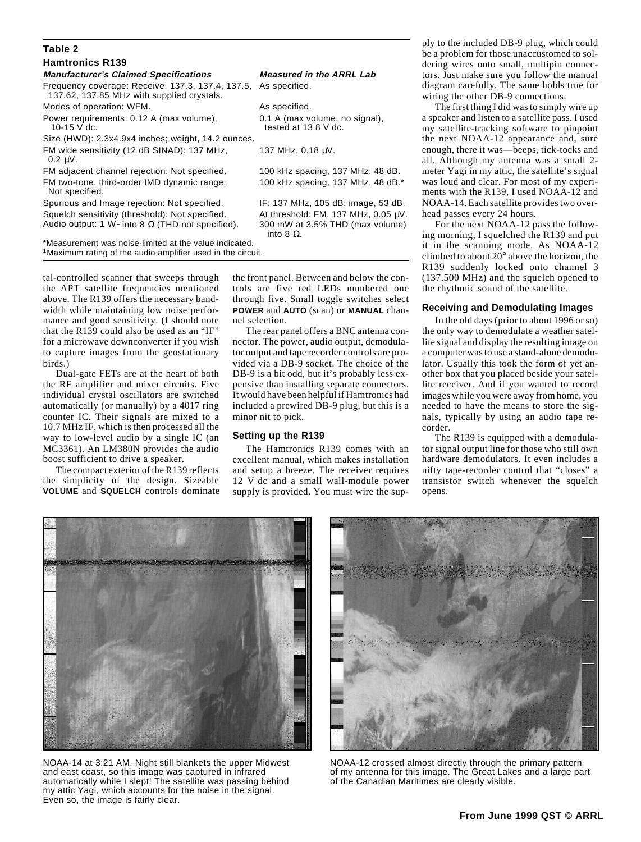| Table 2                                                                                         |                                                        |
|-------------------------------------------------------------------------------------------------|--------------------------------------------------------|
| <b>Hamtronics R139</b>                                                                          |                                                        |
| <b>Manufacturer's Claimed Specifications</b>                                                    | <b>Measured in the ARRL Lab</b>                        |
| Frequency coverage: Receive, 137.3, 137.4, 137.5,<br>137.62, 137.85 MHz with supplied crystals. | As specified.                                          |
| Modes of operation: WFM.                                                                        | As specified.                                          |
| Power requirements: 0.12 A (max volume),<br>10-15 V dc.                                         | 0.1 A (max volume, no signal),<br>tested at 13.8 V dc. |
| Size (HWD): 2.3x4.9x4 inches; weight, 14.2 ounces.                                              |                                                        |
| FM wide sensitivity (12 dB SINAD): 137 MHz,<br>$0.2 \mu V$ .                                    | 137 MHz, 0.18 uV.                                      |
| FM adjacent channel rejection: Not specified.                                                   | 100 kHz spacing, 137 MHz: 48 dB.                       |
| FM two-tone, third-order IMD dynamic range:<br>Not specified.                                   | 100 kHz spacing, 137 MHz, 48 dB.*                      |
| Spurious and Image rejection: Not specified.                                                    | IF: 137 MHz, 105 dB; image, 53 dB.                     |
| Squelch sensitivity (threshold): Not specified.                                                 | At threshold: FM, 137 MHz, 0.05 $\mu$ V.               |
| Audio output: 1 W <sup>1</sup> into 8 $\Omega$ (THD not specified).                             | 300 mW at 3.5% THD (max volume)<br>into 8 $Ω$ .        |
| *Measurement was noise-limited at the value indicated.                                          |                                                        |
| <sup>1</sup> Maximum rating of the audio amplifier used in the circuit.                         |                                                        |

tal-controlled scanner that sweeps through the APT satellite frequencies mentioned above. The R139 offers the necessary bandwidth while maintaining low noise performance and good sensitivity. (I should note that the R139 could also be used as an "IF" for a microwave downconverter if you wish to capture images from the geostationary birds.)

Dual-gate FETs are at the heart of both the RF amplifier and mixer circuits. Five individual crystal oscillators are switched automatically (or manually) by a 4017 ring counter IC. Their signals are mixed to a 10.7 MHz IF, which is then processed all the way to low-level audio by a single IC (an MC3361). An LM380N provides the audio boost sufficient to drive a speaker.

The compact exterior of the R139 reflects the simplicity of the design. Sizeable **VOLUME** and **SQUELCH** controls dominate the front panel. Between and below the controls are five red LEDs numbered one through five. Small toggle switches select **POWER** and **AUTO** (scan) or **MANUAL** channel selection.

The rear panel offers a BNC antenna connector. The power, audio output, demodulator output and tape recorder controls are provided via a DB-9 socket. The choice of the DB-9 is a bit odd, but it's probably less expensive than installing separate connectors. It would have been helpful if Hamtronics had included a prewired DB-9 plug, but this is a minor nit to pick.

#### **Setting up the R139**

The Hamtronics R139 comes with an excellent manual, which makes installation and setup a breeze. The receiver requires 12 V dc and a small wall-module power supply is provided. You must wire the supply to the included DB-9 plug, which could be a problem for those unaccustomed to soldering wires onto small, multipin connectors. Just make sure you follow the manual diagram carefully. The same holds true for wiring the other DB-9 connections.

The first thing I did was to simply wire up a speaker and listen to a satellite pass. I used my satellite-tracking software to pinpoint the next NOAA-12 appearance and, sure enough, there it was—beeps, tick-tocks and all. Although my antenna was a small 2 meter Yagi in my attic, the satellite's signal was loud and clear. For most of my experiments with the R139, I used NOAA-12 and NOAA-14. Each satellite provides two overhead passes every 24 hours.

For the next NOAA-12 pass the following morning, I squelched the R139 and put it in the scanning mode. As NOAA-12 climbed to about 20° above the horizon, the R139 suddenly locked onto channel 3 (137.500 MHz) and the squelch opened to the rhythmic sound of the satellite.

#### **Receiving and Demodulating Images**

In the old days (prior to about 1996 or so) the only way to demodulate a weather satellite signal and display the resulting image on a computer was to use a stand-alone demodulator. Usually this took the form of yet another box that you placed beside your satellite receiver. And if you wanted to record images while you were away from home, you needed to have the means to store the signals, typically by using an audio tape recorder.

The R139 is equipped with a demodulator signal output line for those who still own hardware demodulators. It even includes a nifty tape-recorder control that "closes" a transistor switch whenever the squelch opens.



NOAA-14 at 3:21 AM. Night still blankets the upper Midwest and east coast, so this image was captured in infrared automatically while I slept! The satellite was passing behind my attic Yagi, which accounts for the noise in the signal. Even so, the image is fairly clear.



NOAA-12 crossed almost directly through the primary pattern of my antenna for this image. The Great Lakes and a large part of the Canadian Maritimes are clearly visible.